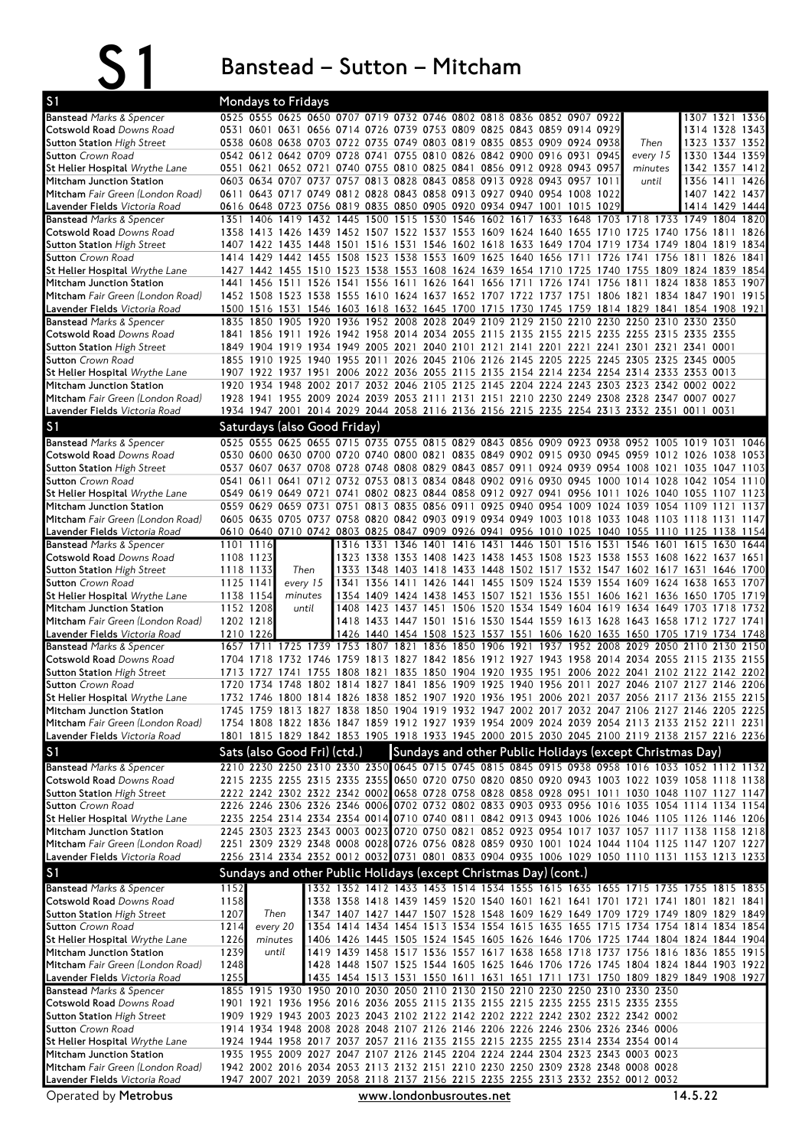|                                                                   |              | Banstead – Sutton – Mitcham                                                                                                                                                                      |                     |  |                         |  |  |  |                                                                                                                                                                    |         |                                  |      |
|-------------------------------------------------------------------|--------------|--------------------------------------------------------------------------------------------------------------------------------------------------------------------------------------------------|---------------------|--|-------------------------|--|--|--|--------------------------------------------------------------------------------------------------------------------------------------------------------------------|---------|----------------------------------|------|
| S <sub>1</sub>                                                    |              | <b>Mondays to Fridays</b>                                                                                                                                                                        |                     |  |                         |  |  |  |                                                                                                                                                                    |         |                                  |      |
| <b>Banstead Marks &amp; Spencer</b>                               |              | 0525 0555 0625 0650 0707 0719 0732 0746 0802 0818 0836 0852 0907 0922                                                                                                                            |                     |  |                         |  |  |  |                                                                                                                                                                    |         | 1307 1321 1336                   |      |
| Cotswold Road Downs Road                                          |              | 0531 0601 0631 0656 0714 0726 0739 0753 0809 0825 0843 0859 0914 0929                                                                                                                            |                     |  |                         |  |  |  |                                                                                                                                                                    |         | 1314 1328 1343                   |      |
| <b>Sutton Station High Street</b>                                 |              | 0538 0608 0638 0703 0722 0735 0749 0803 0819 0835 0853 0909 0924 0938                                                                                                                            |                     |  |                         |  |  |  | Then                                                                                                                                                               |         | 1323 1337 1352                   |      |
| <b>Sutton</b> Crown Road<br>St Helier Hospital Wrythe Lane        |              | 0542 0612 0642 0709 0728 0741 0755 0810 0826 0842 0900 0916 0931 0945<br>0551 0621 0652 0721 0740 0755 0810 0825 0841 0856 0912 0928 0943 0957                                                   |                     |  |                         |  |  |  | every 15<br>minutes                                                                                                                                                |         | 1330 1344 1359<br>1342 1357 1412 |      |
| Mitcham Junction Station                                          |              | 0603 0634 0707 0737 0757 0813 0828 0843 0858 0913 0928 0943 0957 1011                                                                                                                            |                     |  |                         |  |  |  | until                                                                                                                                                              |         | 1356 1411 1426                   |      |
| Mitcham Fair Green (London Road)                                  |              | 0611 0643 0717 0749 0812 0828 0843 0858 0913 0927 0940 0954 1008 1022                                                                                                                            |                     |  |                         |  |  |  |                                                                                                                                                                    |         | 1407 1422 1437                   |      |
| <b>Lavender Fields</b> Victoria Road                              |              | 0616 0648 0723 0756 0819 0835 0850 0905 0920 0934 0947 1001 1015 1029                                                                                                                            |                     |  |                         |  |  |  |                                                                                                                                                                    |         | 1414 1429 1444                   |      |
| <b>Banstead Marks &amp; Spencer</b><br>Cotswold Road Downs Road   |              | 1351 1406 1419 1432 1445 1500 1515 1530 1546 1602 1617 1633 1648 1703 1718 1733 1749 1804 1820<br>1358 1413 1426 1439 1452 1507 1522 1537 1553 1609 1624 1640 1655 1710 1725 1740 1756 1811 1826 |                     |  |                         |  |  |  |                                                                                                                                                                    |         |                                  |      |
| <b>Sutton Station High Street</b>                                 |              | 1407 1422 1435 1448 1501 1516 1531 1546 1602 1618 1633 1649 1704 1719 1734 1749 1804 1819 1834                                                                                                   |                     |  |                         |  |  |  |                                                                                                                                                                    |         |                                  |      |
| <b>Sutton</b> Crown Road                                          |              | 1414 1429 1442 1455 1508 1523 1538 1553 1609 1625 1640 1656 1711 1726 1741 1756 1811 1826 1841                                                                                                   |                     |  |                         |  |  |  |                                                                                                                                                                    |         |                                  |      |
| St Helier Hospital Wrythe Lane                                    |              | 1427 1442 1455 1510 1523 1538 1553 1608 1624 1639 1654 1710 1725 1740 1755 1809 1824 1839 1854                                                                                                   |                     |  |                         |  |  |  |                                                                                                                                                                    |         |                                  |      |
| Mitcham Junction Station<br>Mitcham Fair Green (London Road)      |              | 1441 1456 1511 1526 1541 1556 1611 1626 1641 1656 1711 1726 1741 1756 1811 1824 1838 1853 1907<br>1452 1508 1523 1538 1555 1610 1624 1637 1652 1707 1722 1737 1751 1806 1821 1834 1847 1901 1915 |                     |  |                         |  |  |  |                                                                                                                                                                    |         |                                  |      |
| Lavender Fields Victoria Road                                     |              | 1500 1516 1531 1546 1603 1618 1632 1645 1700 1715 1730 1745 1759 1814 1829 1841 1854 1908 1921                                                                                                   |                     |  |                         |  |  |  |                                                                                                                                                                    |         |                                  |      |
| <b>Banstead</b> Marks & Spencer                                   |              | 1835 1850 1905 1920 1936 1952 2008 2028 2049 2109 2129 2150 2210 2230 2250 2310 2330 2350                                                                                                        |                     |  |                         |  |  |  |                                                                                                                                                                    |         |                                  |      |
| Cotswold Road Downs Road                                          |              | 1841 1856 1911 1926 1942 1958 2014 2034 2055 2115 2135 2155 2215 2235 2255 2315 2335 2355                                                                                                        |                     |  |                         |  |  |  |                                                                                                                                                                    |         |                                  |      |
| <b>Sutton Station High Street</b><br><b>Sutton</b> Crown Road     |              | 1849 1904 1919 1934 1949 2005 2021 2040 2101 2121 2141 2201 2221 2241 2301 2321 2341 0001<br>1855 1910 1925 1940 1955 2011 2026 2045 2106 2126 2145 2205 2225 2245 2305 2325 2345 0005           |                     |  |                         |  |  |  |                                                                                                                                                                    |         |                                  |      |
| St Helier Hospital Wrythe Lane                                    |              | 1907 1922 1937 1951 2006 2022 2036 2055 2115 2135 2154 2214 2234 2254 2314 2333 2353 0013                                                                                                        |                     |  |                         |  |  |  |                                                                                                                                                                    |         |                                  |      |
| Mitcham Junction Station                                          |              | 1920 1934 1948 2002 2017 2032 2046 2105 2125 2145 2204 2224 2243 2303 2323 2342 0002 0022                                                                                                        |                     |  |                         |  |  |  |                                                                                                                                                                    |         |                                  |      |
| Mitcham Fair Green (London Road)                                  |              | 1928 1941 1955 2009 2024 2039 2053 2111 2131 2151 2210 2230 2249 2308 2328 2347 0007 0027                                                                                                        |                     |  |                         |  |  |  |                                                                                                                                                                    |         |                                  |      |
| Lavender Fields Victoria Road                                     |              | 1934 1947 2001 2014 2029 2044 2058 2116 2136 2156 2215 2235 2254 2313 2332 2351 0011 0031                                                                                                        |                     |  |                         |  |  |  |                                                                                                                                                                    |         |                                  |      |
| S <sub>1</sub>                                                    |              | Saturdays (also Good Friday)                                                                                                                                                                     |                     |  |                         |  |  |  |                                                                                                                                                                    |         |                                  |      |
| <b>Banstead Marks &amp; Spencer</b>                               |              | 0525 0555 0625 0655 0715 0735 0755 0815 0829 0843 0856 0909 0923 0938 0952 1005 1019 1031 1046<br>0530 0600 0630 0700 0720 0740 0800 0821 0835 0849 0902 0915 0930 0945 0959 1012 1026 1038 1053 |                     |  |                         |  |  |  |                                                                                                                                                                    |         |                                  |      |
| Cotswold Road Downs Road<br><b>Sutton Station</b> High Street     |              | 0537 0607 0637 0708 0728 0748 0808 0829 0843 0857 0911 0924 0939 0954 1008 1021 1035 1047 1103                                                                                                   |                     |  |                         |  |  |  |                                                                                                                                                                    |         |                                  |      |
| <b>Sutton</b> Crown Road                                          |              | 0541 0611 0641 0712 0732 0753 0813 0834 0848 0902 0916 0930 0945 1000 1014 1028 1042 1054 1110                                                                                                   |                     |  |                         |  |  |  |                                                                                                                                                                    |         |                                  |      |
| St Helier Hospital Wrythe Lane                                    |              | 0549 0619 0649 0721 0741 0802 0823 0844 0858 0912 0927 0941 0956 1011 1026 1040 1055 1107 1123                                                                                                   |                     |  |                         |  |  |  |                                                                                                                                                                    |         |                                  |      |
| Mitcham Junction Station                                          |              | 0559 0629 0659 0731 0751 0813 0835 0856 0911 0925 0940 0954 1009 1024 1039 1054 1109 1121 1137                                                                                                   |                     |  |                         |  |  |  |                                                                                                                                                                    |         |                                  |      |
| Mitcham Fair Green (London Road)<br>Lavender Fields Victoria Road |              | 0605 0635 0705 0737 0758 0820 0842 0903 0919 0934 0949 1003 1018 1033 1048 1103 1118 1131 1147<br>0610 0640 0710 0742 0803 0825 0847 0909 0926 0941 0956 1010 1025 1040 1055 1110 1125 1138 1154 |                     |  |                         |  |  |  |                                                                                                                                                                    |         |                                  |      |
| <b>Banstead Marks &amp; Spencer</b>                               |              | 1101 1116                                                                                                                                                                                        |                     |  |                         |  |  |  | 1316 1331 1346 1401 1416 1431 1446 1501 1516 1531 1546 1601 1615 1630 1644                                                                                         |         |                                  |      |
| Cotswold Road Downs Road                                          |              | 1108 1123                                                                                                                                                                                        |                     |  |                         |  |  |  | 1323 1338 1353 1408 1423 1438 1453 1508 1523 1538 1553 1608 1622 1637 1651                                                                                         |         |                                  |      |
| <b>Sutton Station High Street</b>                                 |              | Then<br>1118 1133                                                                                                                                                                                |                     |  |                         |  |  |  | 1333 1348 1403 1418 1433 1448 1502 1517 1532 1547 1602 1617 1631 1646 1700                                                                                         |         |                                  |      |
| <b>Sutton</b> Crown Road                                          |              | 1125 1141                                                                                                                                                                                        | every 15<br>minutes |  |                         |  |  |  | 1341 1356 1411 1426 1441 1455 1509 1524 1539 1554 1609 1624 1638 1653 1707                                                                                         |         |                                  |      |
| St Helier Hospital Wrythe Lane<br>Mitcham Junction Station        |              | 1138 1154<br>1152 1208                                                                                                                                                                           | until               |  |                         |  |  |  | 1354 1409 1424 1438 1453 1507 1521 1536 1551 1606 1621 1636 1650 1705 1719<br>1408 1423 1437 1451 1506 1520 1534 1549 1604 1619 1634 1649 1703 1718                |         |                                  | 1732 |
| Mitcham Fair Green (London Road)                                  |              | 1202 1218                                                                                                                                                                                        |                     |  |                         |  |  |  | 1418 1433 1447 1501 1516 1530 1544 1559 1613 1628 1643 1658 1712 1727 1741                                                                                         |         |                                  |      |
| Lavender Fields Victoria Road                                     |              | 1210 1226                                                                                                                                                                                        |                     |  |                         |  |  |  | 1426 1440 1454 1508 1523 1537 1551 1606 1620 1635 1650 1705 1719 1734 1748                                                                                         |         |                                  |      |
| <b>Banstead</b> Marks & Spencer<br>Cotswold Road Downs Road       |              | 1657 1711 1725 1739 1753 1807 1821 1836 1850 1906 1921 1937 1952 2008 2029 2050 2110 2130 2150<br>1704 1718 1732 1746 1759 1813 1827 1842 1856 1912 1927 1943 1958 2014 2034 2055 2115 2135 2155 |                     |  |                         |  |  |  |                                                                                                                                                                    |         |                                  |      |
| <b>Sutton Station High Street</b>                                 |              | 1713 1727 1741 1755 1808 1821 1835 1850 1904 1920 1935 1951 2006 2022 2041 2102 2122 2142 2202                                                                                                   |                     |  |                         |  |  |  |                                                                                                                                                                    |         |                                  |      |
| <b>Sutton</b> Crown Road                                          |              | 1720 1734 1748 1802 1814 1827 1841 1856 1909 1925 1940 1956 2011 2027 2046 2107 2127 2146 2206                                                                                                   |                     |  |                         |  |  |  |                                                                                                                                                                    |         |                                  |      |
| <b>St Helier Hospital Wrythe Lane</b>                             |              | 1732 1746 1800 1814 1826 1838 1852 1907 1920 1936 1951 2006 2021 2037 2056 2117 2136 2155 2215                                                                                                   |                     |  |                         |  |  |  |                                                                                                                                                                    |         |                                  |      |
| Mitcham Junction Station                                          |              | 1745 1759 1813 1827 1838 1850 1904 1919 1932 1947 2002 2017 2032 2047 2106 2127 2146 2205 2225                                                                                                   |                     |  |                         |  |  |  |                                                                                                                                                                    |         |                                  |      |
| Mitcham Fair Green (London Road)<br>Lavender Fields Victoria Road |              | 1754 1808 1822 1836 1847 1859 1912 1927 1939 1954 2009 2024 2039 2054 2113 2133 2152 2211 2231<br>1801 1815 1829 1842 1853 1905 1918 1933 1945 2000 2015 2030 2045 2100 2119 2138 2157 2216 2236 |                     |  |                         |  |  |  |                                                                                                                                                                    |         |                                  |      |
| S <sub>1</sub>                                                    |              | Sats (also Good Fri) (ctd.)                                                                                                                                                                      |                     |  |                         |  |  |  | Sundays and other Public Holidays (except Christmas Day)                                                                                                           |         |                                  |      |
| <b>Banstead Marks &amp; Spencer</b>                               |              | 2210 2230 2250 2310 2330 2350 0645 0715 0745 0815 0845 0915 0938 0958 1016 1033 1052 1112 1132                                                                                                   |                     |  |                         |  |  |  |                                                                                                                                                                    |         |                                  |      |
| Cotswold Road Downs Road                                          |              | 2215 2235 2255 2315 2335 2355 0650 0720 0750 0820 0850 0920 0943 1003 1022 1039 1058 1118 1138                                                                                                   |                     |  |                         |  |  |  |                                                                                                                                                                    |         |                                  |      |
| <b>Sutton Station High Street</b>                                 |              | 2222 2242 2302 2322 2342 0002 0658 0728 0758 0828 0858 0928 0951 1011 1030 1048 1107 1127 1147                                                                                                   |                     |  |                         |  |  |  |                                                                                                                                                                    |         |                                  |      |
| <b>Sutton</b> Crown Road                                          |              | 2226 2246 2306 2326 2346 0006 0702 0732 0802 0833 0903 0933 0956 1016 1035 1054 1114 1134 1154                                                                                                   |                     |  |                         |  |  |  |                                                                                                                                                                    |         |                                  |      |
| St Helier Hospital Wrythe Lane<br>Mitcham Junction Station        |              | 2235 2254 2314 2334 2354 0014 0710 0740 0811 0842 0913 0943 1006 1026 1046 1105 1126 1146 1206<br>2245 2303 2323 2343 0003 0023 0720 0750 0821 0852 0923 0954 1017 1037 1057 1117 1138 1158 1218 |                     |  |                         |  |  |  |                                                                                                                                                                    |         |                                  |      |
| Mitcham Fair Green (London Road)                                  |              | 2251 2309 2329 2348 0008 0028 0726 0756 0828 0859 0930 1001 1024 1044 1104 1125 1147 1207 1227                                                                                                   |                     |  |                         |  |  |  |                                                                                                                                                                    |         |                                  |      |
| Lavender Fields Victoria Road                                     |              | 2256 2314 2334 2352 0012 0032 0731 0801 0833 0904 0935 1006 1029 1050 1110 1131 1153 1213 1233                                                                                                   |                     |  |                         |  |  |  |                                                                                                                                                                    |         |                                  |      |
| S <sub>1</sub>                                                    |              | Sundays and other Public Holidays (except Christmas Day) (cont.)                                                                                                                                 |                     |  |                         |  |  |  |                                                                                                                                                                    |         |                                  |      |
| <b>Banstead Marks &amp; Spencer</b>                               | 1152         |                                                                                                                                                                                                  |                     |  |                         |  |  |  | 1332 1352 1412 1433 1453 1514 1534 1555 1615 1635 1655 1715 1735 1755 1815 1835                                                                                    |         |                                  |      |
| <b>Cotswold Road</b> Downs Road                                   | 1158         |                                                                                                                                                                                                  |                     |  |                         |  |  |  | 1338 1358 1418 1439 1459 1520 1540 1601 1621 1641 1701 1721 1741 1801 1821 1841                                                                                    |         |                                  |      |
| <b>Sutton Station High Street</b>                                 | 1207         | Then                                                                                                                                                                                             |                     |  |                         |  |  |  | 1347 1407 1427 1447 1507 1528 1548 1609 1629 1649 1709 1729 1749 1809 1829 1849                                                                                    |         |                                  |      |
| <b>Sutton</b> Crown Road<br>St Helier Hospital Wrythe Lane        | 1214<br>1226 | every 20<br>minutes                                                                                                                                                                              |                     |  |                         |  |  |  | 1354 1414 1434 1454 1513 1534 1554 1615 1635 1655 1715 1734 1754 1814 1834 1854<br>1406 1426 1445 1505 1524 1545 1605 1626 1646 1706 1725 1744 1804 1824 1844 1904 |         |                                  |      |
| Mitcham Junction Station                                          | 1239         | until                                                                                                                                                                                            |                     |  |                         |  |  |  | 1419 1439 1458 1517 1536 1557 1617 1638 1658 1718 1737 1756 1816 1836 1855 1915                                                                                    |         |                                  |      |
| Mitcham Fair Green (London Road)                                  | 1248         |                                                                                                                                                                                                  |                     |  |                         |  |  |  | 1428 1448 1507 1525 1544 1605 1625 1646 1706 1726 1745 1804 1824 1844 1903 1922                                                                                    |         |                                  |      |
| Lavender Fields Victoria Road                                     | 1255         |                                                                                                                                                                                                  |                     |  |                         |  |  |  | 1435 1454 1513 1531 1550 1611 1631 1651 1711 1731 1750 1809 1829 1849 1908 1927                                                                                    |         |                                  |      |
| <b>Banstead Marks &amp; Spencer</b><br>Cotswold Road Downs Road   |              | 1855 1915 1930 1950 2010 2030 2050 2110 2130 2150 2210 2230 2250 2310 2330 2350<br>1901 1921 1936 1956 2016 2036 2055 2115 2135 2155 2215 2235 2255 2315 2335 2355                               |                     |  |                         |  |  |  |                                                                                                                                                                    |         |                                  |      |
| <b>Sutton Station High Street</b>                                 |              | 1909 1929 1943 2003 2023 2043 2102 2122 2142 2202 2222 2242 2302 2322 2342 0002                                                                                                                  |                     |  |                         |  |  |  |                                                                                                                                                                    |         |                                  |      |
| <b>Sutton</b> Crown Road                                          |              | 1914 1934 1948 2008 2028 2048 2107 2126 2146 2206 2226 2246 2306 2326 2346 0006                                                                                                                  |                     |  |                         |  |  |  |                                                                                                                                                                    |         |                                  |      |
| St Helier Hospital Wrythe Lane                                    |              | 1924 1944 1958 2017 2037 2057 2116 2135 2155 2215 2235 2255 2314 2334 2354 0014                                                                                                                  |                     |  |                         |  |  |  |                                                                                                                                                                    |         |                                  |      |
| Mitcham Junction Station<br>Mitcham Fair Green (London Road)      |              | 1935 1955 2009 2027 2047 2107 2126 2145 2204 2224 2244 2304 2323 2343 0003 0023<br>1942 2002 2016 2034 2053 2113 2132 2151 2210 2230 2250 2309 2328 2348 0008 0028                               |                     |  |                         |  |  |  |                                                                                                                                                                    |         |                                  |      |
| Lavender Fields Victoria Road                                     |              | 1947 2007 2021 2039 2058 2118 2137 2156 2215 2235 2255 2313 2332 2352 0012 0032                                                                                                                  |                     |  |                         |  |  |  |                                                                                                                                                                    |         |                                  |      |
| Operated by Metrobus                                              |              |                                                                                                                                                                                                  |                     |  | www.londonbusroutes.net |  |  |  |                                                                                                                                                                    | 14.5.22 |                                  |      |